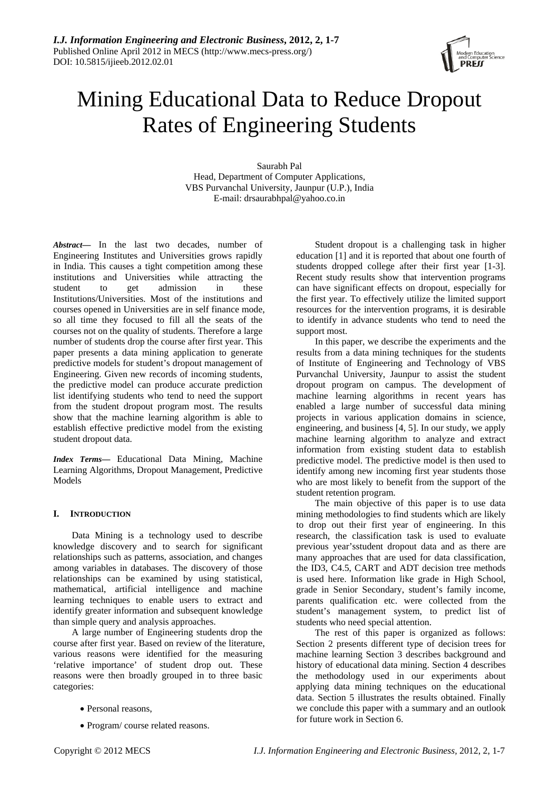

# Mining Educational Data to Reduce Dropout Rates of Engineering Students

Saurabh Pal Head, Department of Computer Applications, VBS Purvanchal University, Jaunpur (U.P.), India E-mail: drsaurabhpal@yahoo.co.in

*Abstract***—** In the last two decades, number of Engineering Institutes and Universities grows rapidly in India. This causes a tight competition among these institutions and Universities while attracting the student to get admission in these Institutions/Universities. Most of the institutions and courses opened in Universities are in self finance mode, so all time they focused to fill all the seats of the courses not on the quality of students. Therefore a large number of students drop the course after first year. This paper presents a data mining application to generate predictive models for student's dropout management of Engineering. Given new records of incoming students, the predictive model can produce accurate prediction list identifying students who tend to need the support from the student dropout program most. The results show that the machine learning algorithm is able to establish effective predictive model from the existing student dropout data.

*Index Terms***—** Educational Data Mining, Machine Learning Algorithms, Dropout Management, Predictive Models

# **I. INTRODUCTION**

Data Mining is a technology used to describe knowledge discovery and to search for significant relationships such as patterns, association, and changes among variables in databases. The discovery of those relationships can be examined by using statistical, mathematical, artificial intelligence and machine learning techniques to enable users to extract and identify greater information and subsequent knowledge than simple query and analysis approaches.

A large number of Engineering students drop the course after first year. Based on review of the literature, various reasons were identified for the measuring 'relative importance' of student drop out. These reasons were then broadly grouped in to three basic categories:

- Personal reasons,
- Program/course related reasons.

Student dropout is a challenging task in higher education [1] and it is reported that about one fourth of students dropped college after their first year [1-3]. Recent study results show that intervention programs can have significant effects on dropout, especially for the first year. To effectively utilize the limited support resources for the intervention programs, it is desirable to identify in advance students who tend to need the support most.

In this paper, we describe the experiments and the results from a data mining techniques for the students of Institute of Engineering and Technology of VBS Purvanchal University, Jaunpur to assist the student dropout program on campus. The development of machine learning algorithms in recent years has enabled a large number of successful data mining projects in various application domains in science, engineering, and business [4, 5]. In our study, we apply machine learning algorithm to analyze and extract information from existing student data to establish predictive model. The predictive model is then used to identify among new incoming first year students those who are most likely to benefit from the support of the student retention program.

The main objective of this paper is to use data mining methodologies to find students which are likely to drop out their first year of engineering. In this research, the classification task is used to evaluate previous year'sstudent dropout data and as there are many approaches that are used for data classification, the ID3, C4.5, CART and ADT decision tree methods is used here. Information like grade in High School, grade in Senior Secondary, student's family income, parents qualification etc. were collected from the student's management system, to predict list of students who need special attention.

The rest of this paper is organized as follows: Section 2 presents different type of decision trees for machine learning Section 3 describes background and history of educational data mining. Section 4 describes the methodology used in our experiments about applying data mining techniques on the educational data. Section 5 illustrates the results obtained. Finally we conclude this paper with a summary and an outlook for future work in Section 6.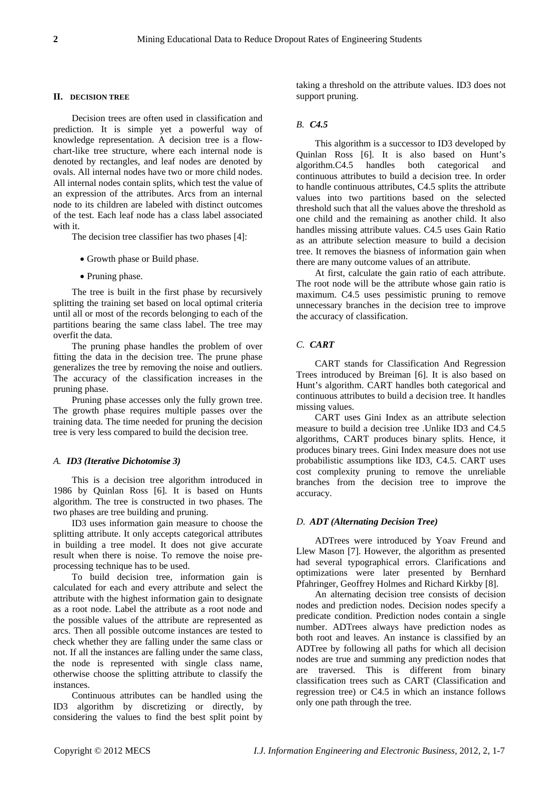# **II. DECISION TREE**

Decision trees are often used in classification and prediction. It is simple yet a powerful way of knowledge representation. A decision tree is a flowchart-like tree structure, where each internal node is denoted by rectangles, and leaf nodes are denoted by ovals. All internal nodes have two or more child nodes. All internal nodes contain splits, which test the value of an expression of the attributes. Arcs from an internal node to its children are labeled with distinct outcomes of the test. Each leaf node has a class label associated with it.

The decision tree classifier has two phases [4]:

- Growth phase or Build phase.
- Pruning phase.

The tree is built in the first phase by recursively splitting the training set based on local optimal criteria until all or most of the records belonging to each of the partitions bearing the same class label. The tree may overfit the data.

The pruning phase handles the problem of over fitting the data in the decision tree. The prune phase generalizes the tree by removing the noise and outliers. The accuracy of the classification increases in the pruning phase.

Pruning phase accesses only the fully grown tree. The growth phase requires multiple passes over the training data. The time needed for pruning the decision tree is very less compared to build the decision tree.

#### *A. ID3 (Iterative Dichotomise 3)*

This is a decision tree algorithm introduced in 1986 by Quinlan Ross [6]. It is based on Hunts algorithm. The tree is constructed in two phases. The two phases are tree building and pruning.

ID3 uses information gain measure to choose the splitting attribute. It only accepts categorical attributes in building a tree model. It does not give accurate result when there is noise. To remove the noise preprocessing technique has to be used.

To build decision tree, information gain is calculated for each and every attribute and select the attribute with the highest information gain to designate as a root node. Label the attribute as a root node and the possible values of the attribute are represented as arcs. Then all possible outcome instances are tested to check whether they are falling under the same class or not. If all the instances are falling under the same class, the node is represented with single class name, otherwise choose the splitting attribute to classify the instances.

Continuous attributes can be handled using the ID3 algorithm by discretizing or directly, by considering the values to find the best split point by taking a threshold on the attribute values. ID3 does not support pruning.

# *B. C4.5*

This algorithm is a successor to ID3 developed by Quinlan Ross [6]. It is also based on Hunt's algorithm.C4.5 handles both categorical and continuous attributes to build a decision tree. In order to handle continuous attributes, C4.5 splits the attribute values into two partitions based on the selected threshold such that all the values above the threshold as one child and the remaining as another child. It also handles missing attribute values. C4.5 uses Gain Ratio as an attribute selection measure to build a decision tree. It removes the biasness of information gain when there are many outcome values of an attribute.

At first, calculate the gain ratio of each attribute. The root node will be the attribute whose gain ratio is maximum. C4.5 uses pessimistic pruning to remove unnecessary branches in the decision tree to improve the accuracy of classification.

# *C. CART*

CART stands for Classification And Regression Trees introduced by Breiman [6]. It is also based on Hunt's algorithm. CART handles both categorical and continuous attributes to build a decision tree. It handles missing values.

CART uses Gini Index as an attribute selection measure to build a decision tree .Unlike ID3 and C4.5 algorithms, CART produces binary splits. Hence, it produces binary trees. Gini Index measure does not use probabilistic assumptions like ID3, C4.5. CART uses cost complexity pruning to remove the unreliable branches from the decision tree to improve the accuracy.

# *D. ADT (Alternating Decision Tree)*

ADTrees were introduced by Yoav Freund and Llew Mason [7]. However, the algorithm as presented had several typographical errors. Clarifications and optimizations were later presented by Bernhard Pfahringer, Geoffrey Holmes and Richard Kirkby [8].

An alternating decision tree consists of decision nodes and prediction nodes. Decision nodes specify a predicate condition. Prediction nodes contain a single number. ADTrees always have prediction nodes as both root and leaves. An instance is classified by an ADTree by following all paths for which all decision nodes are true and summing any prediction nodes that are traversed. This is different from binary classification trees such as CART (Classification and regression tree) or C4.5 in which an instance follows only one path through the tree.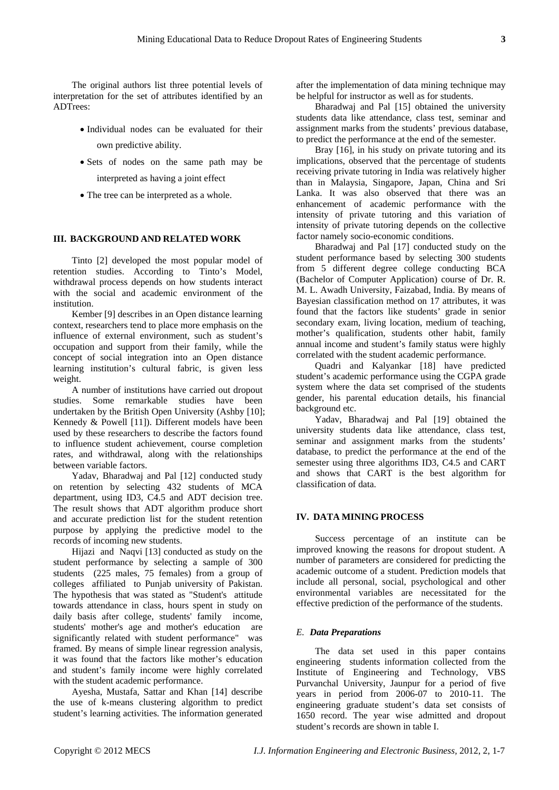The original authors list three potential levels of interpretation for the set of attributes identified by an ADTrees:

- Individual nodes can be evaluated for their own predictive ability.
- Sets of nodes on the same path may be interpreted as having a joint effect
- The tree can be interpreted as a whole.

## **III. BACKGROUND AND RELATED WORK**

Tinto [2] developed the most popular model of retention studies. According to Tinto's Model, withdrawal process depends on how students interact with the social and academic environment of the institution.

Kember [9] describes in an Open distance learning context, researchers tend to place more emphasis on the influence of external environment, such as student's occupation and support from their family, while the concept of social integration into an Open distance learning institution's cultural fabric, is given less weight.

A number of institutions have carried out dropout studies. Some remarkable studies have been undertaken by the British Open University (Ashby [10]; Kennedy & Powell [11]). Different models have been used by these researchers to describe the factors found to influence student achievement, course completion rates, and withdrawal, along with the relationships between variable factors.

Yadav, Bharadwaj and Pal [12] conducted study on retention by selecting 432 students of MCA department, using ID3, C4.5 and ADT decision tree. The result shows that ADT algorithm produce short and accurate prediction list for the student retention purpose by applying the predictive model to the records of incoming new students.

Hijazi and Naqvi [13] conducted as study on the student performance by selecting a sample of 300 students (225 males, 75 females) from a group of colleges affiliated to Punjab university of Pakistan. The hypothesis that was stated as "Student's attitude towards attendance in class, hours spent in study on daily basis after college, students' family income, students' mother's age and mother's education are significantly related with student performance" was framed. By means of simple linear regression analysis, it was found that the factors like mother's education and student's family income were highly correlated with the student academic performance.

Ayesha, Mustafa, Sattar and Khan [14] describe the use of k-means clustering algorithm to predict student's learning activities. The information generated

after the implementation of data mining technique may be helpful for instructor as well as for students.

Bharadwaj and Pal [15] obtained the university students data like attendance, class test, seminar and assignment marks from the students' previous database, to predict the performance at the end of the semester.

Bray [16], in his study on private tutoring and its implications, observed that the percentage of students receiving private tutoring in India was relatively higher than in Malaysia, Singapore, Japan, China and Sri Lanka. It was also observed that there was an enhancement of academic performance with the intensity of private tutoring and this variation of intensity of private tutoring depends on the collective factor namely socio-economic conditions.

Bharadwaj and Pal [17] conducted study on the student performance based by selecting 300 students from 5 different degree college conducting BCA (Bachelor of Computer Application) course of Dr. R. M. L. Awadh University, Faizabad, India. By means of Bayesian classification method on 17 attributes, it was found that the factors like students' grade in senior secondary exam, living location, medium of teaching, mother's qualification, students other habit, family annual income and student's family status were highly correlated with the student academic performance.

Quadri and Kalyankar [18] have predicted student's academic performance using the CGPA grade system where the data set comprised of the students gender, his parental education details, his financial background etc.

Yadav, Bharadwaj and Pal [19] obtained the university students data like attendance, class test, seminar and assignment marks from the students' database, to predict the performance at the end of the semester using three algorithms ID3, C4.5 and CART and shows that CART is the best algorithm for classification of data.

## **IV. DATA MINING PROCESS**

Success percentage of an institute can be improved knowing the reasons for dropout student. A number of parameters are considered for predicting the academic outcome of a student. Prediction models that include all personal, social, psychological and other environmental variables are necessitated for the effective prediction of the performance of the students.

# *E. Data Preparations*

The data set used in this paper contains engineering students information collected from the Institute of Engineering and Technology, VBS Purvanchal University, Jaunpur for a period of five years in period from 2006-07 to 2010-11. The engineering graduate student's data set consists of 1650 record. The year wise admitted and dropout student's records are shown in table I.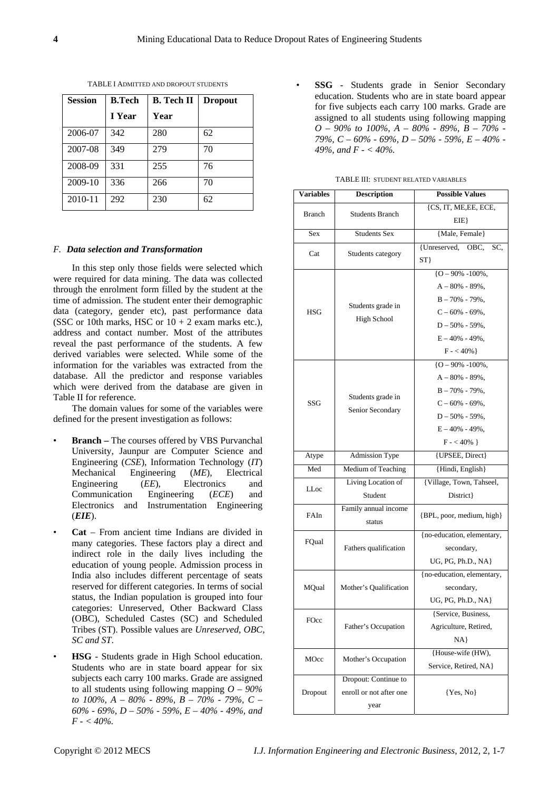| <b>Session</b> | <b>B.Tech</b> | <b>B.</b> Tech II | <b>Dropout</b> |
|----------------|---------------|-------------------|----------------|
|                | I Year        | Year              |                |
| 2006-07        | 342           | 280               | 62             |
| 2007-08        | 349           | 279               | 70             |
| 2008-09        | 331           | 255               | 76             |
| 2009-10        | 336           | 266               | 70             |
| 2010-11        | 292           | 230               | 62             |

TABLE I ADMITTED AND DROPOUT STUDENTS

#### *F. Data selection and Transformation*

In this step only those fields were selected which were required for data mining. The data was collected through the enrolment form filled by the student at the time of admission. The student enter their demographic data (category, gender etc), past performance data (SSC or 10th marks, HSC or  $10 + 2$  exam marks etc.), address and contact number. Most of the attributes reveal the past performance of the students. A few derived variables were selected. While some of the information for the variables was extracted from the database. All the predictor and response variables which were derived from the database are given in Table II for reference.

The domain values for some of the variables were defined for the present investigation as follows:

- **Branch** The courses offered by VBS Purvanchal University, Jaunpur are Computer Science and Engineering (*CSE*), Information Technology (*IT*) Mechanical Engineering (*ME*), Electrical Engineering (*EE*), Electronics and Communication Engineering (*ECE*) and Electronics and Instrumentation Engineering (*EIE*).
- **Cat** From ancient time Indians are divided in many categories. These factors play a direct and indirect role in the daily lives including the education of young people. Admission process in India also includes different percentage of seats reserved for different categories. In terms of social status, the Indian population is grouped into four categories: Unreserved, Other Backward Class (OBC), Scheduled Castes (SC) and Scheduled Tribes (ST). Possible values are *Unreserved, OBC, SC and ST*.
- **HSG** Students grade in High School education. Students who are in state board appear for six subjects each carry 100 marks. Grade are assigned to all students using following mapping *O – 90% to 100%, A – 80% - 89%, B – 70% - 79%, C – 60% - 69%, D – 50% - 59%, E – 40% - 49%, and F - < 40%.*

• **SSG** - Students grade in Senior Secondary education. Students who are in state board appear for five subjects each carry 100 marks. Grade are assigned to all students using following mapping *O – 90% to 100%, A – 80% - 89%, B – 70% - 79%, C – 60% - 69%, D – 50% - 59%, E – 40% - 49%, and F - < 40%.*

| <b>Variables</b> | <b>Description</b>             | <b>Possible Values</b>     |  |
|------------------|--------------------------------|----------------------------|--|
| <b>Branch</b>    |                                | {CS, IT, ME, EE, ECE,      |  |
|                  | <b>Students Branch</b>         | EIE                        |  |
| Sex              | <b>Students Sex</b>            | {Male, Female}             |  |
| Cat              |                                | {Unreserved, OBC,<br>SC,   |  |
|                  | Students category              | $ST$ }                     |  |
|                  |                                | ${O-90\% - 100\%},$        |  |
|                  |                                | $A - 80\% - 89\%$ .        |  |
|                  | Students grade in              | $B - 70\% - 79\%$ .        |  |
| HSG              |                                | $C - 60\% - 69\%$ .        |  |
|                  | High School                    | $D - 50\% - 59\%$ .        |  |
|                  |                                | $E - 40\% - 49\%$ .        |  |
|                  |                                | $F - < 40\%$               |  |
|                  |                                | ${O - 90\% - 100\%},$      |  |
|                  |                                | $A - 80\% - 89\%$ .        |  |
|                  | Students grade in              | $B - 70\% - 79\%$ ,        |  |
| SSG              | Senior Secondary               | $C - 60\% - 69\%$ ,        |  |
|                  |                                | $D - 50\% - 59\%$ ,        |  |
|                  |                                | $E - 40\% - 49\%$ .        |  |
|                  |                                | $F - < 40\%$               |  |
| Atype            | <b>Admission Type</b>          | {UPSEE, Direct}            |  |
| Med              | Medium of Teaching             | {Hindi, English}           |  |
| LLoc             | Living Location of             | {Village, Town, Tahseel,   |  |
|                  | Student                        | District }                 |  |
| FAIn             | Family annual income<br>status | {BPL, poor, medium, high}  |  |
| FQual            |                                | {no-education, elementary, |  |
|                  | Fathers qualification          | secondary,                 |  |
|                  |                                | UG, PG, Ph.D., NA          |  |
| MQual            |                                | {no-education, elementary, |  |
|                  | Mother's Qualification         | secondary,                 |  |
|                  |                                | UG, PG, Ph.D., NA}         |  |
| FOcc             |                                | {Service, Business,        |  |
|                  | Father's Occupation            | Agriculture, Retired,      |  |
|                  |                                | NA                         |  |
| MOcc             | Mother's Occupation            | {House-wife (HW),          |  |
|                  |                                | Service, Retired, NA}      |  |
| Dropout          | Dropout: Continue to           |                            |  |
|                  | enroll or not after one        | $\{Yes, No\}$              |  |
|                  | year                           |                            |  |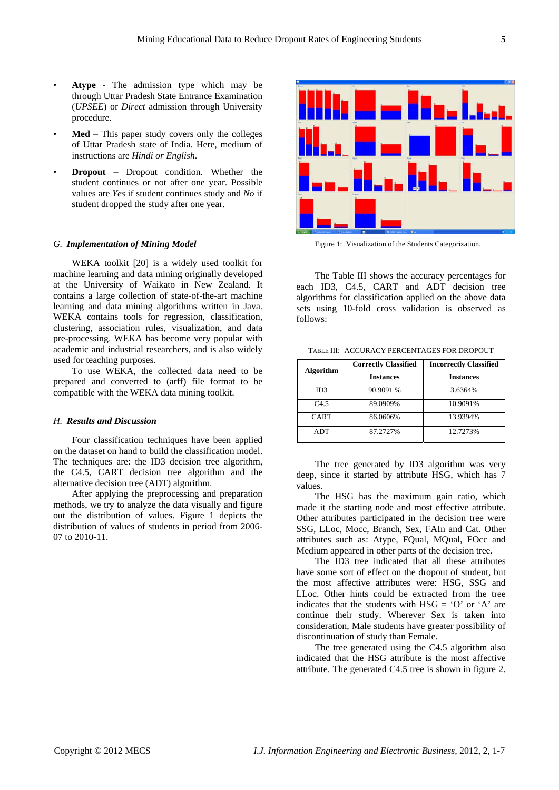- **Atype** The admission type which may be through Uttar Pradesh State Entrance Examination (*UPSEE*) or *Direct* admission through University procedure.
- Med This paper study covers only the colleges of Uttar Pradesh state of India. Here, medium of instructions are *Hindi or English*.
- **Dropout** Dropout condition. Whether the student continues or not after one year. Possible values are *Yes* if student continues study and *No* if student dropped the study after one year.

## *G. Implementation of Mining Model*

WEKA toolkit [20] is a widely used toolkit for machine learning and data mining originally developed at the University of Waikato in New Zealand. It contains a large collection of state-of-the-art machine learning and data mining algorithms written in Java. WEKA contains tools for regression, classification, clustering, association rules, visualization, and data pre-processing. WEKA has become very popular with academic and industrial researchers, and is also widely used for teaching purposes.

To use WEKA, the collected data need to be prepared and converted to (arff) file format to be compatible with the WEKA data mining toolkit.

#### *H. Results and Discussion*

Four classification techniques have been applied on the dataset on hand to build the classification model. The techniques are: the ID3 decision tree algorithm, the C4.5, CART decision tree algorithm and the alternative decision tree (ADT) algorithm.

After applying the preprocessing and preparation methods, we try to analyze the data visually and figure out the distribution of values. Figure 1 depicts the distribution of values of students in period from 2006- 07 to 2010-11.



Figure 1: Visualization of the Students Categorization.

The Table III shows the accuracy percentages for each ID3, C4.5, CART and ADT decision tree algorithms for classification applied on the above data sets using 10-fold cross validation is observed as follows:

| <b>Algorithm</b> | <b>Correctly Classified</b><br><b>Instances</b> | <b>Incorrectly Classified</b><br><b>Instances</b> |
|------------------|-------------------------------------------------|---------------------------------------------------|
| ID3              | 90.9091 %                                       | 3.6364%                                           |
| C <sub>4.5</sub> | 89.0909%                                        | 10.9091%                                          |
| <b>CART</b>      | 86.0606%                                        | 13.9394%                                          |
| <b>ADT</b>       | 87.2727%                                        | 12.7273%                                          |

TABLE III: ACCURACY PERCENTAGES FOR DROPOUT

The tree generated by ID3 algorithm was very deep, since it started by attribute HSG, which has 7 values.

The HSG has the maximum gain ratio, which made it the starting node and most effective attribute. Other attributes participated in the decision tree were SSG, LLoc, Mocc, Branch, Sex, FAIn and Cat. Other attributes such as: Atype, FQual, MQual, FOcc and Medium appeared in other parts of the decision tree.

The ID3 tree indicated that all these attributes have some sort of effect on the dropout of student, but the most affective attributes were: HSG, SSG and LLoc. Other hints could be extracted from the tree indicates that the students with  $HSG = 'O'$  or 'A' are continue their study. Wherever Sex is taken into consideration, Male students have greater possibility of discontinuation of study than Female.

The tree generated using the C4.5 algorithm also indicated that the HSG attribute is the most affective attribute. The generated C4.5 tree is shown in figure 2.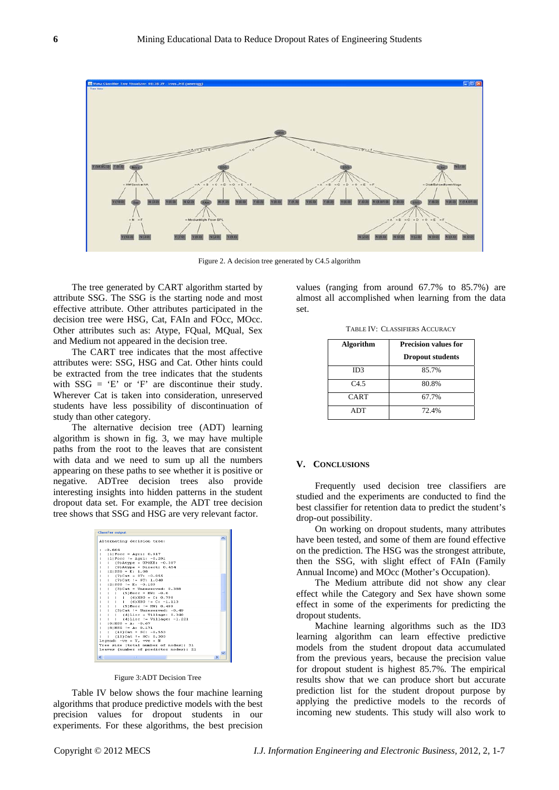

Figure 2. A decision tree generated by C4.5 algorithm

The tree generated by CART algorithm started by attribute SSG. The SSG is the starting node and most effective attribute. Other attributes participated in the decision tree were HSG, Cat, FAIn and FOcc, MOcc. Other attributes such as: Atype, FQual, MQual, Sex and Medium not appeared in the decision tree.

The CART tree indicates that the most affective attributes were: SSG, HSG and Cat. Other hints could be extracted from the tree indicates that the students with  $SSG = 'E'$  or 'F' are discontinue their study. Wherever Cat is taken into consideration, unreserved students have less possibility of discontinuation of study than other category.

The alternative decision tree (ADT) learning algorithm is shown in fig. 3, we may have multiple paths from the root to the leaves that are consistent with data and we need to sum up all the numbers appearing on these paths to see whether it is positive or negative. ADTree decision trees also provide interesting insights into hidden patterns in the student dropout data set. For example, the ADT tree decision tree shows that SSG and HSG are very relevant factor.

| Alternating decision tree:                                   |  |
|--------------------------------------------------------------|--|
| $: -0.664$                                                   |  |
| $(1)$ Focc = Agri: $0.917$                                   |  |
| $(1)$ Focc $!=$ Agri: $-0.291$                               |  |
| $(9)$ Atype = UPSEE: $-0.387$<br>$\mathbf{L}$                |  |
| $(9)$ Atype = Direct: $0.454$                                |  |
| $(2) 336 = E$ : 1.08                                         |  |
| $(7)$ Cat = ST: $-0.855$<br>$\mathbf{L}$                     |  |
| (7) Cat != ST: 1.048                                         |  |
| $(2) 336$ $- E$ ; $-0.189$                                   |  |
| $(3)$ Cat = Unreserved: $0.388$<br>. .                       |  |
| $(5)$ Hocc = HW: -0.6                                        |  |
| $(6)HSG = C: 0.798$                                          |  |
| $\mathbf{I}$ and $\mathbf{I}$<br>$(6)HSG$ $!=$ $C:$ $-1.113$ |  |
| $1$ (5) Mocc $!=$ HW: 0.499                                  |  |
| (3) Cat != Unreserved: -0.49                                 |  |
| $(4)$ Lloc = Village: $0.348$                                |  |
| $(4)$ Lloc $!=$ Village: $-1.221$                            |  |
| $(8)$ HSG = A: -0.67                                         |  |
| $(8)$ HSG $!=$ A: 0.171                                      |  |
| $(10)$ Cat = SC: -0.553<br>. .                               |  |
| $(10)$ Cat != SC: 0.303                                      |  |
| Legend: $-ve = Y$ , $+ve = W$                                |  |
| Tree size (total number of nodes): 31                        |  |
| Leaves (number of predictor nodes): 21                       |  |
| mm<br>$\leftarrow$                                           |  |

Figure 3:ADT Decision Tree

Table IV below shows the four machine learning algorithms that produce predictive models with the best precision values for dropout students in our experiments. For these algorithms, the best precision

values (ranging from around 67.7% to 85.7%) are almost all accomplished when learning from the data set.

TABLE IV: CLASSIFIERS ACCURACY

| <b>Algorithm</b> | <b>Precision values for</b> |
|------------------|-----------------------------|
|                  | <b>Dropout students</b>     |
| ID3              | 85.7%                       |
| C4.5             | 80.8%                       |
| CART             | 67.7%                       |
| <b>ADT</b>       | 72.4%                       |

#### **V. CONCLUSIONS**

Frequently used decision tree classifiers are studied and the experiments are conducted to find the best classifier for retention data to predict the student's drop-out possibility.

On working on dropout students, many attributes have been tested, and some of them are found effective on the prediction. The HSG was the strongest attribute, then the SSG, with slight effect of FAIn (Family Annual Income) and MOcc (Mother's Occupation).

The Medium attribute did not show any clear effect while the Category and Sex have shown some effect in some of the experiments for predicting the dropout students.

Machine learning algorithms such as the ID3 learning algorithm can learn effective predictive models from the student dropout data accumulated from the previous years, because the precision value for dropout student is highest 85.7%. The empirical results show that we can produce short but accurate prediction list for the student dropout purpose by applying the predictive models to the records of incoming new students. This study will also work to